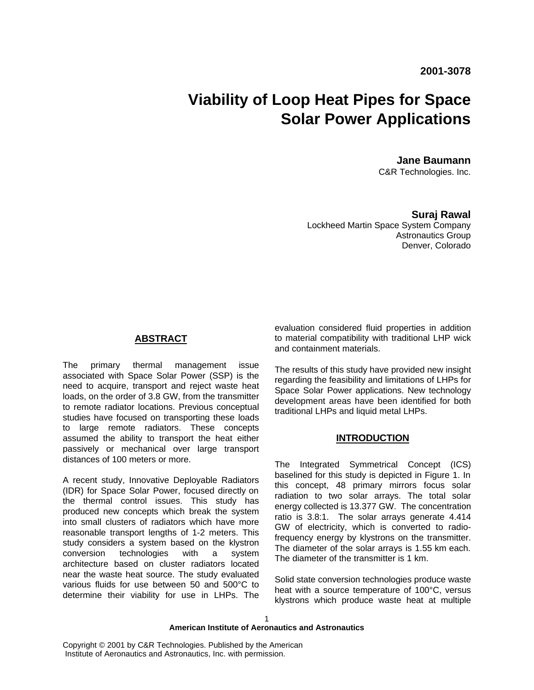# **Viability of Loop Heat Pipes for Space Solar Power Applications**

**Jane Baumann**  C&R Technologies. Inc.

**Suraj Rawal** Lockheed Martin Space System Company Astronautics Group Denver, Colorado

## **ABSTRACT**

The primary thermal management issue associated with Space Solar Power (SSP) is the need to acquire, transport and reject waste heat loads, on the order of 3.8 GW, from the transmitter to remote radiator locations. Previous conceptual studies have focused on transporting these loads to large remote radiators. These concepts assumed the ability to transport the heat either passively or mechanical over large transport distances of 100 meters or more.

A recent study, Innovative Deployable Radiators (IDR) for Space Solar Power, focused directly on the thermal control issues. This study has produced new concepts which break the system into small clusters of radiators which have more reasonable transport lengths of 1-2 meters. This study considers a system based on the klystron conversion technologies with a system architecture based on cluster radiators located near the waste heat source. The study evaluated various fluids for use between 50 and 500°C to determine their viability for use in LHPs. The

evaluation considered fluid properties in addition to material compatibility with traditional LHP wick and containment materials.

The results of this study have provided new insight regarding the feasibility and limitations of LHPs for Space Solar Power applications. New technology development areas have been identified for both traditional LHPs and liquid metal LHPs.

## **INTRODUCTION**

The Integrated Symmetrical Concept (ICS) baselined for this study is depicted in Figure 1. In this concept, 48 primary mirrors focus solar radiation to two solar arrays. The total solar energy collected is 13.377 GW. The concentration ratio is 3.8:1. The solar arrays generate 4.414 GW of electricity, which is converted to radiofrequency energy by klystrons on the transmitter. The diameter of the solar arrays is 1.55 km each. The diameter of the transmitter is 1 km.

Solid state conversion technologies produce waste heat with a source temperature of 100°C, versus klystrons which produce waste heat at multiple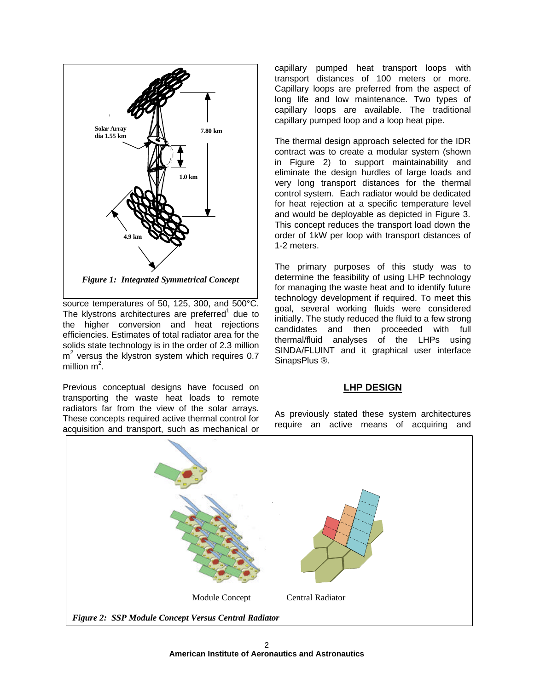

source temperatures of 50, 125, 300, and 500°C. The klystrons architectures are preferred $1$  due to the higher conversion and heat rejections efficiencies. Estimates of total radiator area for the solids state technology is in the order of 2.3 million m<sup>2</sup> versus the klystron system which requires 0.7 million m<sup>2</sup>.

Previous conceptual designs have focused on transporting the waste heat loads to remote radiators far from the view of the solar arrays. These concepts required active thermal control for acquisition and transport, such as mechanical or capillary pumped heat transport loops with transport distances of 100 meters or more. Capillary loops are preferred from the aspect of long life and low maintenance. Two types of capillary loops are available. The traditional capillary pumped loop and a loop heat pipe.

The thermal design approach selected for the IDR contract was to create a modular system (shown in Figure 2) to support maintainability and eliminate the design hurdles of large loads and very long transport distances for the thermal control system. Each radiator would be dedicated for heat rejection at a specific temperature level and would be deployable as depicted in Figure 3. This concept reduces the transport load down the order of 1kW per loop with transport distances of 1-2 meters.

The primary purposes of this study was to determine the feasibility of using LHP technology for managing the waste heat and to identify future technology development if required. To meet this goal, several working fluids were considered initially. The study reduced the fluid to a few strong candidates and then proceeded with full thermal/fluid analyses of the LHPs using SINDA/FLUINT and it graphical user interface SinapsPlus ®.

# **LHP DESIGN**

As previously stated these system architectures require an active means of acquiring and

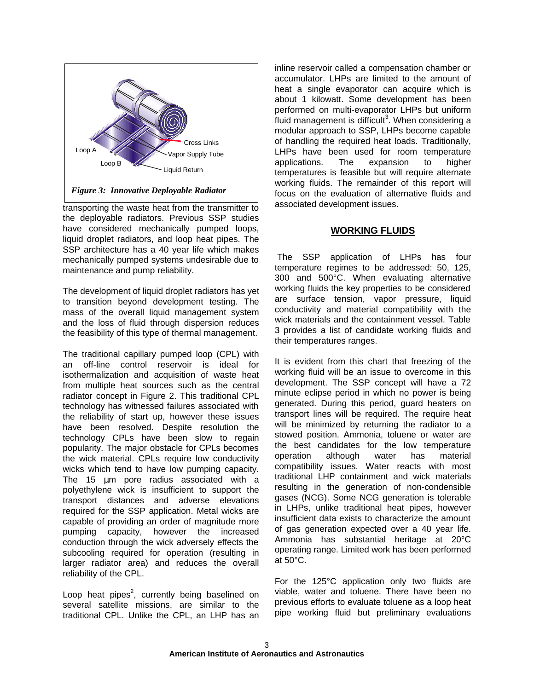

transporting the waste heat from the transmitter to the deployable radiators. Previous SSP studies have considered mechanically pumped loops, liquid droplet radiators, and loop heat pipes. The SSP architecture has a 40 year life which makes mechanically pumped systems undesirable due to maintenance and pump reliability.

The development of liquid droplet radiators has yet to transition beyond development testing. The mass of the overall liquid management system and the loss of fluid through dispersion reduces the feasibility of this type of thermal management.

The traditional capillary pumped loop (CPL) with an off-line control reservoir is ideal for isothermalization and acquisition of waste heat from multiple heat sources such as the central radiator concept in Figure 2. This traditional CPL technology has witnessed failures associated with the reliability of start up, however these issues have been resolved. Despite resolution the technology CPLs have been slow to regain popularity. The major obstacle for CPLs becomes the wick material. CPLs require low conductivity wicks which tend to have low pumping capacity. The 15 μm pore radius associated with a polyethylene wick is insufficient to support the transport distances and adverse elevations required for the SSP application. Metal wicks are capable of providing an order of magnitude more pumping capacity, however the increased conduction through the wick adversely effects the subcooling required for operation (resulting in larger radiator area) and reduces the overall reliability of the CPL.

Loop heat pipes<sup>2</sup>, currently being baselined on several satellite missions, are similar to the traditional CPL. Unlike the CPL, an LHP has an inline reservoir called a compensation chamber or accumulator. LHPs are limited to the amount of heat a single evaporator can acquire which is about 1 kilowatt. Some development has been performed on multi-evaporator LHPs but uniform .<br>fluid management is difficult<sup>3</sup>. When considering a modular approach to SSP, LHPs become capable of handling the required heat loads. Traditionally, LHPs have been used for room temperature applications. The expansion to higher temperatures is feasible but will require alternate working fluids. The remainder of this report will focus on the evaluation of alternative fluids and associated development issues.

# **WORKING FLUIDS**

 The SSP application of LHPs has four temperature regimes to be addressed: 50, 125, 300 and 500°C. When evaluating alternative working fluids the key properties to be considered are surface tension, vapor pressure, liquid conductivity and material compatibility with the wick materials and the containment vessel. Table 3 provides a list of candidate working fluids and their temperatures ranges.

It is evident from this chart that freezing of the working fluid will be an issue to overcome in this development. The SSP concept will have a 72 minute eclipse period in which no power is being generated. During this period, guard heaters on transport lines will be required. The require heat will be minimized by returning the radiator to a stowed position. Ammonia, toluene or water are the best candidates for the low temperature operation although water has material compatibility issues. Water reacts with most traditional LHP containment and wick materials resulting in the generation of non-condensible gases (NCG). Some NCG generation is tolerable in LHPs, unlike traditional heat pipes, however insufficient data exists to characterize the amount of gas generation expected over a 40 year life. Ammonia has substantial heritage at 20°C operating range. Limited work has been performed at 50°C.

For the 125°C application only two fluids are viable, water and toluene. There have been no previous efforts to evaluate toluene as a loop heat pipe working fluid but preliminary evaluations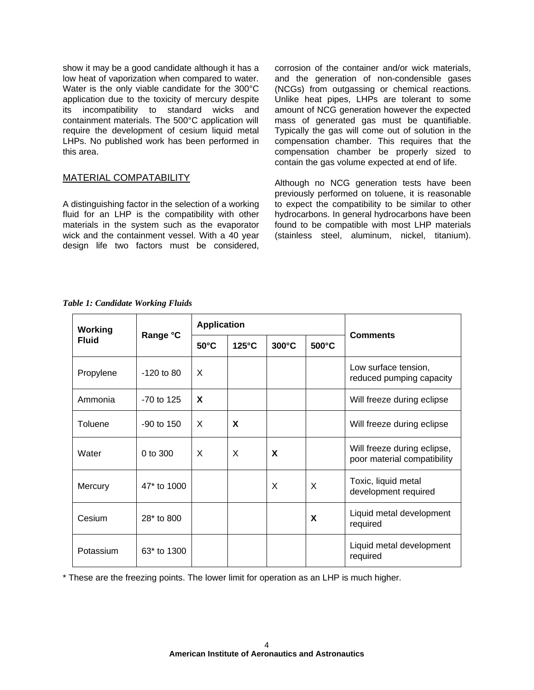show it may be a good candidate although it has a low heat of vaporization when compared to water. Water is the only viable candidate for the 300°C application due to the toxicity of mercury despite its incompatibility to standard wicks and containment materials. The 500°C application will require the development of cesium liquid metal LHPs. No published work has been performed in this area.

# MATERIAL COMPATABILITY

A distinguishing factor in the selection of a working fluid for an LHP is the compatibility with other materials in the system such as the evaporator wick and the containment vessel. With a 40 year design life two factors must be considered, corrosion of the container and/or wick materials, and the generation of non-condensible gases (NCGs) from outgassing or chemical reactions. Unlike heat pipes, LHPs are tolerant to some amount of NCG generation however the expected mass of generated gas must be quantifiable. Typically the gas will come out of solution in the compensation chamber. This requires that the compensation chamber be properly sized to contain the gas volume expected at end of life.

Although no NCG generation tests have been previously performed on toluene, it is reasonable to expect the compatibility to be similar to other hydrocarbons. In general hydrocarbons have been found to be compatible with most LHP materials (stainless steel, aluminum, nickel, titanium).

| Working<br><b>Fluid</b> | Range °C       | <b>Application</b> |                 |       |          |                                                            |
|-------------------------|----------------|--------------------|-----------------|-------|----------|------------------------------------------------------------|
|                         |                | $50^{\circ}$ C     | $125^{\circ}$ C | 300°C | 500°C    | <b>Comments</b>                                            |
| Propylene               | $-120$ to 80   | X                  |                 |       |          | Low surface tension,<br>reduced pumping capacity           |
| Ammonia                 | $-70$ to 125   | X                  |                 |       |          | Will freeze during eclipse                                 |
| Toluene                 | $-90$ to $150$ | X                  | X               |       |          | Will freeze during eclipse                                 |
| Water                   | 0 to 300       | X                  | X               | X     |          | Will freeze during eclipse,<br>poor material compatibility |
| Mercury                 | 47* to 1000    |                    |                 | X     | $\times$ | Toxic, liquid metal<br>development required                |
| Cesium                  | 28* to 800     |                    |                 |       | X        | Liquid metal development<br>required                       |
| Potassium               | 63* to 1300    |                    |                 |       |          | Liquid metal development<br>required                       |

*Table 1: Candidate Working Fluids*

\* These are the freezing points. The lower limit for operation as an LHP is much higher.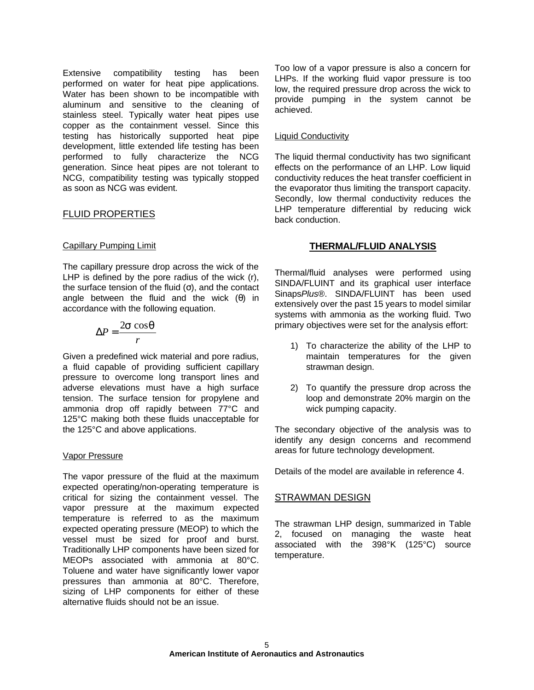Extensive compatibility testing has been performed on water for heat pipe applications. Water has been shown to be incompatible with aluminum and sensitive to the cleaning of stainless steel. Typically water heat pipes use copper as the containment vessel. Since this testing has historically supported heat pipe development, little extended life testing has been performed to fully characterize the NCG generation. Since heat pipes are not tolerant to NCG, compatibility testing was typically stopped as soon as NCG was evident.

# FLUID PROPERTIES

### Capillary Pumping Limit

The capillary pressure drop across the wick of the LHP is defined by the pore radius of the wick (r), the surface tension of the fluid  $(σ)$ , and the contact angle between the fluid and the wick  $(\theta)$  in accordance with the following equation.

$$
\Delta P = \frac{2\mathbf{s}\cos\mathbf{q}}{r}
$$

Given a predefined wick material and pore radius, a fluid capable of providing sufficient capillary pressure to overcome long transport lines and adverse elevations must have a high surface tension. The surface tension for propylene and ammonia drop off rapidly between 77°C and 125°C making both these fluids unacceptable for the 125°C and above applications.

#### Vapor Pressure

The vapor pressure of the fluid at the maximum expected operating/non-operating temperature is critical for sizing the containment vessel. The vapor pressure at the maximum expected temperature is referred to as the maximum expected operating pressure (MEOP) to which the vessel must be sized for proof and burst. Traditionally LHP components have been sized for MEOPs associated with ammonia at 80°C. Toluene and water have significantly lower vapor pressures than ammonia at 80°C. Therefore, sizing of LHP components for either of these alternative fluids should not be an issue.

Too low of a vapor pressure is also a concern for LHPs. If the working fluid vapor pressure is too low, the required pressure drop across the wick to provide pumping in the system cannot be achieved.

## Liquid Conductivity

The liquid thermal conductivity has two significant effects on the performance of an LHP. Low liquid conductivity reduces the heat transfer coefficient in the evaporator thus limiting the transport capacity. Secondly, low thermal conductivity reduces the LHP temperature differential by reducing wick back conduction.

# **THERMAL/FLUID ANALYSIS**

Thermal/fluid analyses were performed using SINDA/FLUINT and its graphical user interface Sinaps*Plus*®. SINDA/FLUINT has been used extensively over the past 15 years to model similar systems with ammonia as the working fluid. Two primary objectives were set for the analysis effort:

- 1) To characterize the ability of the LHP to maintain temperatures for the given strawman design.
- 2) To quantify the pressure drop across the loop and demonstrate 20% margin on the wick pumping capacity.

The secondary objective of the analysis was to identify any design concerns and recommend areas for future technology development.

Details of the model are available in reference 4.

## STRAWMAN DESIGN

The strawman LHP design, summarized in Table 2, focused on managing the waste heat associated with the 398°K (125°C) source temperature.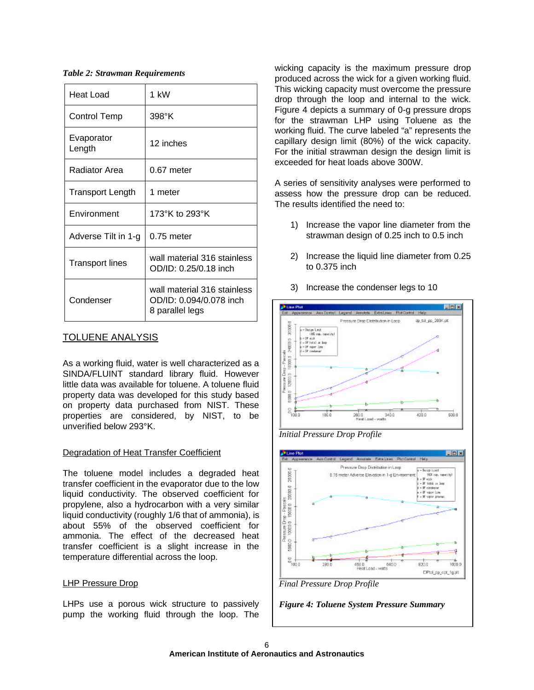*Table 2: Strawman Requirements*

| Heat Load              | 1 kW                                                                      |  |  |
|------------------------|---------------------------------------------------------------------------|--|--|
| Control Temp           | 398°K                                                                     |  |  |
| Evaporator<br>Length   | 12 inches                                                                 |  |  |
| Radiator Area          | 0.67 meter                                                                |  |  |
| Transport Length       | 1 meter                                                                   |  |  |
| Environment            | 173°K to 293°K                                                            |  |  |
| Adverse Tilt in 1-g    | $0.75$ meter                                                              |  |  |
| <b>Transport lines</b> | wall material 316 stainless<br>OD/ID: 0.25/0.18 inch                      |  |  |
| Condenser              | wall material 316 stainless<br>OD/ID: 0.094/0.078 inch<br>8 parallel legs |  |  |

# TOLUENE ANALYSIS

As a working fluid, water is well characterized as a SINDA/FLUINT standard library fluid. However little data was available for toluene. A toluene fluid property data was developed for this study based on property data purchased from NIST. These properties are considered, by NIST, to be unverified below 293°K.

# Degradation of Heat Transfer Coefficient

The toluene model includes a degraded heat transfer coefficient in the evaporator due to the low liquid conductivity. The observed coefficient for propylene, also a hydrocarbon with a very similar liquid conductivity (roughly 1/6 that of ammonia), is about 55% of the observed coefficient for ammonia. The effect of the decreased heat transfer coefficient is a slight increase in the temperature differential across the loop.

# LHP Pressure Drop

LHPs use a porous wick structure to passively pump the working fluid through the loop. The

wicking capacity is the maximum pressure drop produced across the wick for a given working fluid. This wicking capacity must overcome the pressure drop through the loop and internal to the wick. Figure 4 depicts a summary of 0-g pressure drops for the strawman LHP using Toluene as the working fluid. The curve labeled "a" represents the capillary design limit (80%) of the wick capacity. For the initial strawman design the design limit is exceeded for heat loads above 300W.

A series of sensitivity analyses were performed to assess how the pressure drop can be reduced. The results identified the need to:

- 1) Increase the vapor line diameter from the strawman design of 0.25 inch to 0.5 inch
- 2) Increase the liquid line diameter from 0.25 to 0.375 inch
- **JP Line Plat ELECTR** Legend Amotole Extra Lines RotControl Help do tal po 203K.pk Pressure Divisi Distribution in Loop 300000 Deter Link<br>198 mp. case (b) -OF eak<br>- OF total in loop annee + DP: niger<br>- DP: caeda noune Drop - Parcake 180000 12000.0 0.0003  $\frac{1}{2}$  $500.0$ 180.0  $420.0$ 280.0 340.0<br>HeatLoad - vorts

3) Increase the condenser legs to 10

*Initial Pressure Drop Profile*





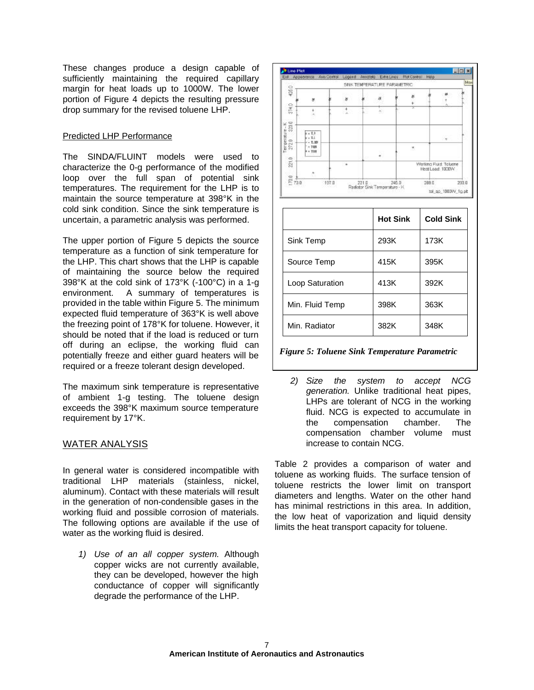These changes produce a design capable of sufficiently maintaining the required capillary margin for heat loads up to 1000W. The lower portion of Figure 4 depicts the resulting pressure drop summary for the revised toluene LHP.

# Predicted LHP Performance

The SINDA/FLUINT models were used to characterize the 0-g performance of the modified loop over the full span of potential sink temperatures. The requirement for the LHP is to maintain the source temperature at 398°K in the cold sink condition. Since the sink temperature is uncertain, a parametric analysis was performed.

The upper portion of Figure 5 depicts the source temperature as a function of sink temperature for the LHP. This chart shows that the LHP is capable of maintaining the source below the required 398°K at the cold sink of 173°K (-100°C) in a 1-g environment. A summary of temperatures is provided in the table within Figure 5. The minimum expected fluid temperature of 363°K is well above the freezing point of 178°K for toluene. However, it should be noted that if the load is reduced or turn off during an eclipse, the working fluid can potentially freeze and either guard heaters will be required or a freeze tolerant design developed.

The maximum sink temperature is representative of ambient 1-g testing. The toluene design exceeds the 398°K maximum source temperature requirement by 17°K.

# WATER ANALYSIS

In general water is considered incompatible with traditional LHP materials (stainless, nickel, aluminum). Contact with these materials will result in the generation of non-condensible gases in the working fluid and possible corrosion of materials. The following options are available if the use of water as the working fluid is desired.

*1) Use of an all copper system.* Although copper wicks are not currently available, they can be developed, however the high conductance of copper will significantly degrade the performance of the LHP.



|                 | <b>Hot Sink</b> | <b>Cold Sink</b> |
|-----------------|-----------------|------------------|
| Sink Temp       | 293K            | 173K             |
| Source Temp     | 415K            | 395K             |
| Loop Saturation | 413K            | 392K             |
| Min. Fluid Temp | 398K            | 363K             |
| Min. Radiator   | 382K            | 348K             |

*Figure 5: Toluene Sink Temperature Parametric*

*2) Size the system to accept NCG generation.* Unlike traditional heat pipes, LHPs are tolerant of NCG in the working fluid. NCG is expected to accumulate in the compensation chamber. The compensation chamber volume must increase to contain NCG.

Table 2 provides a comparison of water and toluene as working fluids. The surface tension of toluene restricts the lower limit on transport diameters and lengths. Water on the other hand has minimal restrictions in this area. In addition, the low heat of vaporization and liquid density limits the heat transport capacity for toluene.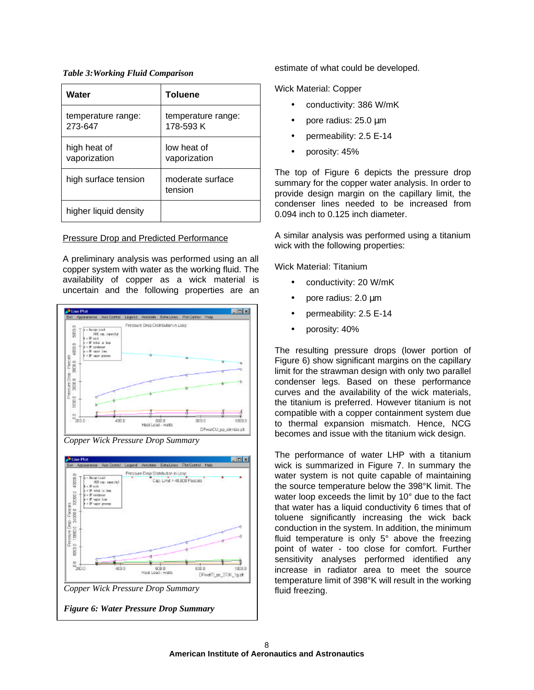*Table 3:Working Fluid Comparison*

| Water                         | <b>Toluene</b>                  |  |
|-------------------------------|---------------------------------|--|
| temperature range:<br>273-647 | temperature range:<br>178-593 K |  |
| high heat of<br>vaporization  | low heat of<br>vaporization     |  |
| high surface tension          | moderate surface<br>tension     |  |
| higher liquid density         |                                 |  |

### Pressure Drop and Predicted Performance

A preliminary analysis was performed using an all copper system with water as the working fluid. The availability of copper as a wick material is uncertain and the following properties are an



estimate of what could be developed.

Wick Material: Copper

- conductivity: 386 W/mK
- pore radius: 25.0 μm
- permeability: 2.5 E-14
- porosity: 45%

The top of Figure 6 depicts the pressure drop summary for the copper water analysis. In order to provide design margin on the capillary limit, the condenser lines needed to be increased from 0.094 inch to 0.125 inch diameter.

A similar analysis was performed using a titanium wick with the following properties:

Wick Material: Titanium

- conductivity: 20 W/mK
- pore radius: 2.0 μm
- permeability: 2.5 E-14
- porosity: 40%

The resulting pressure drops (lower portion of Figure 6) show significant margins on the capillary limit for the strawman design with only two parallel condenser legs. Based on these performance curves and the availability of the wick materials, the titanium is preferred. However titanium is not compatible with a copper containment system due to thermal expansion mismatch. Hence, NCG becomes and issue with the titanium wick design.

The performance of water LHP with a titanium wick is summarized in Figure 7. In summary the water system is not quite capable of maintaining the source temperature below the 398°K limit. The water loop exceeds the limit by 10° due to the fact that water has a liquid conductivity 6 times that of toluene significantly increasing the wick back conduction in the system. In addition, the minimum fluid temperature is only 5° above the freezing point of water - too close for comfort. Further sensitivity analyses performed identified any increase in radiator area to meet the source temperature limit of 398°K will result in the working fluid freezing.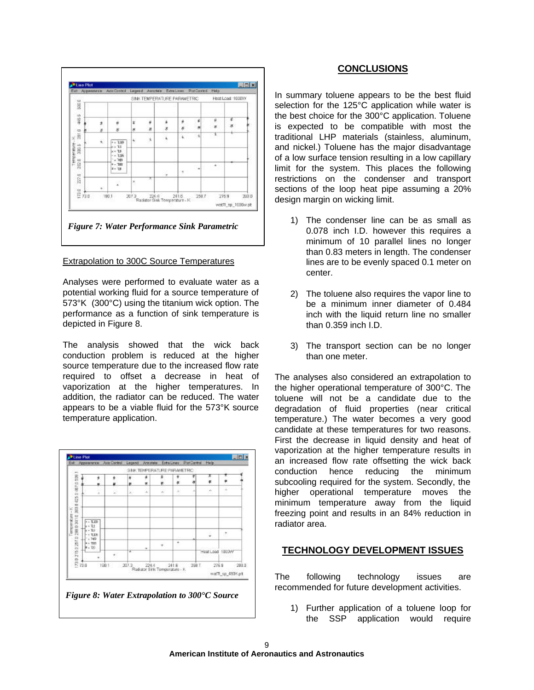

## Extrapolation to 300C Source Temperatures

Analyses were performed to evaluate water as a potential working fluid for a source temperature of 573°K (300°C) using the titanium wick option. The performance as a function of sink temperature is depicted in Figure 8.

The analysis showed that the wick back conduction problem is reduced at the higher source temperature due to the increased flow rate required to offset a decrease in heat of vaporization at the higher temperatures. In addition, the radiator can be reduced. The water appears to be a viable fluid for the 573°K source temperature application.



## **CONCLUSIONS**

In summary toluene appears to be the best fluid selection for the 125°C application while water is the best choice for the 300°C application. Toluene is expected to be compatible with most the traditional LHP materials (stainless, aluminum, and nickel.) Toluene has the major disadvantage of a low surface tension resulting in a low capillary limit for the system. This places the following restrictions on the condenser and transport sections of the loop heat pipe assuming a 20% design margin on wicking limit.

- 1) The condenser line can be as small as 0.078 inch I.D. however this requires a minimum of 10 parallel lines no longer than 0.83 meters in length. The condenser lines are to be evenly spaced 0.1 meter on center.
- 2) The toluene also requires the vapor line to be a minimum inner diameter of 0.484 inch with the liquid return line no smaller than 0.359 inch I.D.
- 3) The transport section can be no longer than one meter.

The analyses also considered an extrapolation to the higher operational temperature of 300°C. The toluene will not be a candidate due to the degradation of fluid properties (near critical temperature.) The water becomes a very good candidate at these temperatures for two reasons. First the decrease in liquid density and heat of vaporization at the higher temperature results in an increased flow rate offsetting the wick back conduction hence reducing the minimum subcooling required for the system. Secondly, the higher operational temperature moves the minimum temperature away from the liquid freezing point and results in an 84% reduction in radiator area.

# **TECHNOLOGY DEVELOPMENT ISSUES**

The following technology issues are recommended for future development activities.

1) Further application of a toluene loop for the SSP application would require